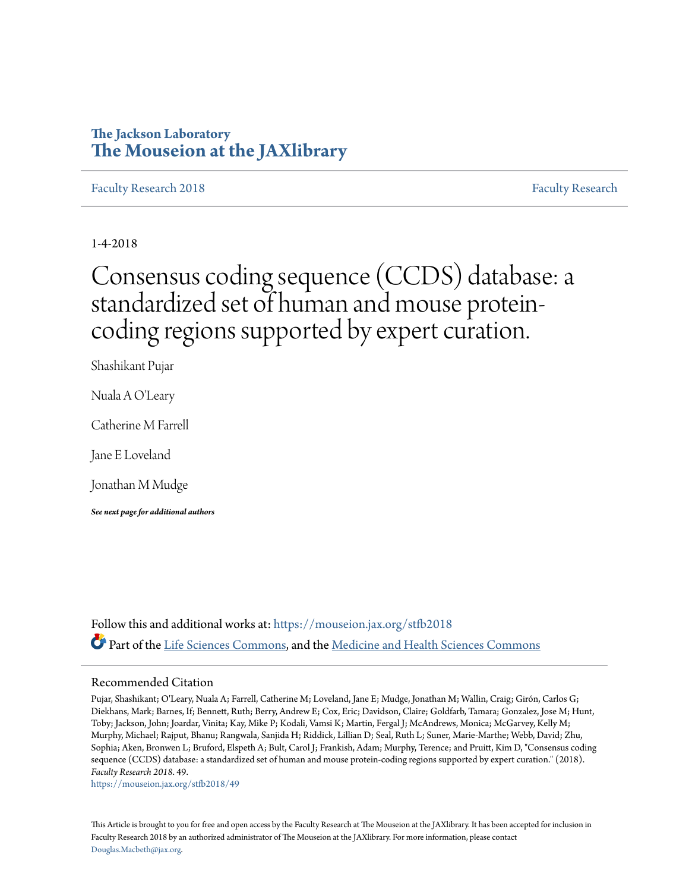# **The Jackson Laboratory [The Mouseion at the JAXlibrary](https://mouseion.jax.org?utm_source=mouseion.jax.org%2Fstfb2018%2F49&utm_medium=PDF&utm_campaign=PDFCoverPages)**

# [Faculty Research 2018](https://mouseion.jax.org/stfb2018?utm_source=mouseion.jax.org%2Fstfb2018%2F49&utm_medium=PDF&utm_campaign=PDFCoverPages) [Faculty Research](https://mouseion.jax.org/fac_research?utm_source=mouseion.jax.org%2Fstfb2018%2F49&utm_medium=PDF&utm_campaign=PDFCoverPages)

1-4-2018

# Consensus coding sequence (CCDS) database: a standardized set of human and mouse proteincoding regions supported by expert curation.

Shashikant Pujar

Nuala A O'Leary

Catherine M Farrell

Jane E Loveland

Jonathan M Mudge

*See next page for additional authors*

Follow this and additional works at: [https://mouseion.jax.org/stfb2018](https://mouseion.jax.org/stfb2018?utm_source=mouseion.jax.org%2Fstfb2018%2F49&utm_medium=PDF&utm_campaign=PDFCoverPages) Part of the [Life Sciences Commons](http://network.bepress.com/hgg/discipline/1016?utm_source=mouseion.jax.org%2Fstfb2018%2F49&utm_medium=PDF&utm_campaign=PDFCoverPages), and the [Medicine and Health Sciences Commons](http://network.bepress.com/hgg/discipline/648?utm_source=mouseion.jax.org%2Fstfb2018%2F49&utm_medium=PDF&utm_campaign=PDFCoverPages)

# Recommended Citation

Pujar, Shashikant; O'Leary, Nuala A; Farrell, Catherine M; Loveland, Jane E; Mudge, Jonathan M; Wallin, Craig; Girón, Carlos G; Diekhans, Mark; Barnes, If; Bennett, Ruth; Berry, Andrew E; Cox, Eric; Davidson, Claire; Goldfarb, Tamara; Gonzalez, Jose M; Hunt, Toby; Jackson, John; Joardar, Vinita; Kay, Mike P; Kodali, Vamsi K; Martin, Fergal J; McAndrews, Monica; McGarvey, Kelly M; Murphy, Michael; Rajput, Bhanu; Rangwala, Sanjida H; Riddick, Lillian D; Seal, Ruth L; Suner, Marie-Marthe; Webb, David; Zhu, Sophia; Aken, Bronwen L; Bruford, Elspeth A; Bult, Carol J; Frankish, Adam; Murphy, Terence; and Pruitt, Kim D, "Consensus coding sequence (CCDS) database: a standardized set of human and mouse protein-coding regions supported by expert curation." (2018). *Faculty Research 2018*. 49.

[https://mouseion.jax.org/stfb2018/49](https://mouseion.jax.org/stfb2018/49?utm_source=mouseion.jax.org%2Fstfb2018%2F49&utm_medium=PDF&utm_campaign=PDFCoverPages)

This Article is brought to you for free and open access by the Faculty Research at The Mouseion at the JAXlibrary. It has been accepted for inclusion in Faculty Research 2018 by an authorized administrator of The Mouseion at the JAXlibrary. For more information, please contact [Douglas.Macbeth@jax.org.](mailto:Douglas.Macbeth@jax.org)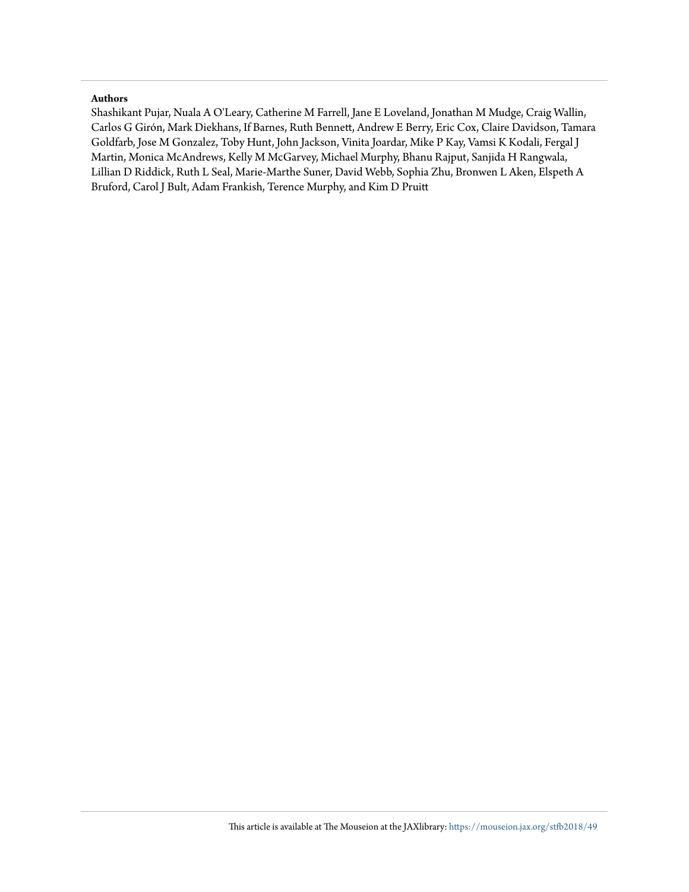#### **Authors**

Shashikant Pujar, Nuala A O'Leary, Catherine M Farrell, Jane E Loveland, Jonathan M Mudge, Craig Wallin, Carlos G Girón, Mark Diekhans, If Barnes, Ruth Bennett, Andrew E Berry, Eric Cox, Claire Davidson, Tamara Goldfarb, Jose M Gonzalez, Toby Hunt, John Jackson, Vinita Joardar, Mike P Kay, Vamsi K Kodali, Fergal J Martin, Monica McAndrews, Kelly M McGarvey, Michael Murphy, Bhanu Rajput, Sanjida H Rangwala, Lillian D Riddick, Ruth L Seal, Marie-Marthe Suner, David Webb, Sophia Zhu, Bronwen L Aken, Elspeth A Bruford, Carol J Bult, Adam Frankish, Terence Murphy, and Kim D Pruitt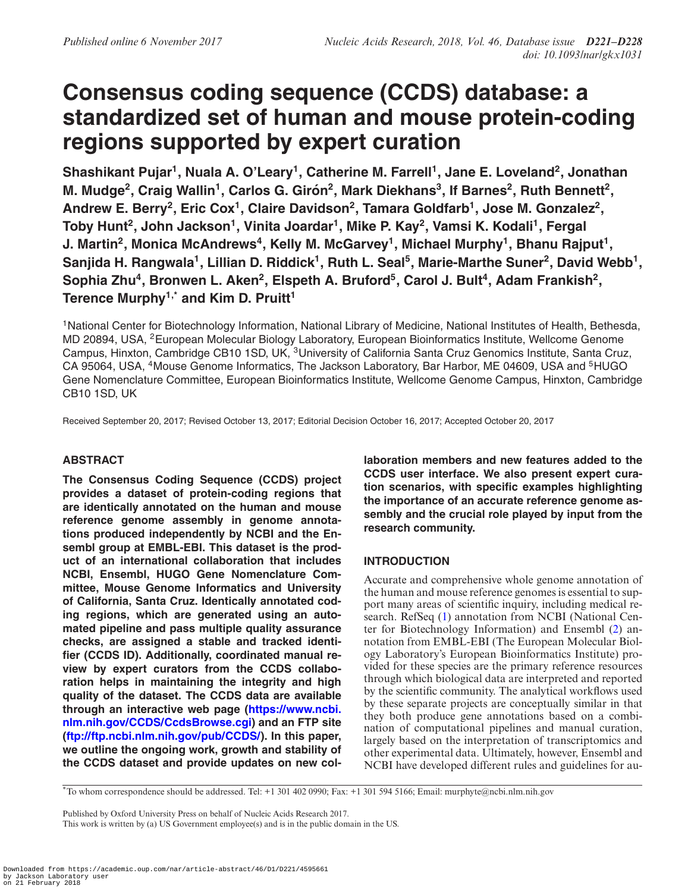# **Consensus coding sequence (CCDS) database: a standardized set of human and mouse protein-coding regions supported by expert curation**

Shashikant Pujar<sup>1</sup>, Nuala A. O'Leary<sup>1</sup>, Catherine M. Farrell<sup>1</sup>, Jane E. Loveland<sup>2</sup>, Jonathan **M. Mudge2, Craig Wallin1, Carlos G. Giron´ 2, Mark Diekhans3, If Barnes2, Ruth Bennett2,** Andrew E. Berry<sup>2</sup>, Eric Cox<sup>1</sup>, Claire Davidson<sup>2</sup>, Tamara Goldfarb<sup>1</sup>, Jose M. Gonzalez<sup>2</sup>, Toby Hunt<sup>2</sup>, John Jackson<sup>1</sup>, Vinita Joardar<sup>1</sup>, Mike P. Kay<sup>2</sup>, Vamsi K. Kodali<sup>1</sup>, Fergal **J. Martin<sup>2</sup>, Monica McAndrews<sup>4</sup>, Kelly M. McGarvey<sup>1</sup>, Michael Murphy<sup>1</sup>, Bhanu Rajput<sup>1</sup>,** Sanjida H. Rangwala<sup>1</sup>, Lillian D. Riddick<sup>1</sup>, Ruth L. Seal<sup>5</sup>, Marie-Marthe Suner<sup>2</sup>, David Webb<sup>1</sup>, Sophia Zhu<sup>4</sup>, Bronwen L. Aken<sup>2</sup>, Elspeth A. Bruford<sup>5</sup>, Carol J. Bult<sup>4</sup>, Adam Frankish<sup>2</sup>, **Terence Murphy1,\* and Kim D. Pruitt1**

<sup>1</sup>National Center for Biotechnology Information, National Library of Medicine, National Institutes of Health, Bethesda, MD 20894, USA, <sup>2</sup>European Molecular Biology Laboratory, European Bioinformatics Institute, Wellcome Genome Campus, Hinxton, Cambridge CB10 1SD, UK, 3University of California Santa Cruz Genomics Institute, Santa Cruz, CA 95064, USA, <sup>4</sup>Mouse Genome Informatics, The Jackson Laboratory, Bar Harbor, ME 04609, USA and <sup>5</sup>HUGO Gene Nomenclature Committee, European Bioinformatics Institute, Wellcome Genome Campus, Hinxton, Cambridge CB10 1SD, UK

Received September 20, 2017; Revised October 13, 2017; Editorial Decision October 16, 2017; Accepted October 20, 2017

# **ABSTRACT**

**The Consensus Coding Sequence (CCDS) project provides a dataset of protein-coding regions that are identically annotated on the human and mouse reference genome assembly in genome annotations produced independently by NCBI and the Ensembl group at EMBL-EBI. This dataset is the product of an international collaboration that includes NCBI, Ensembl, HUGO Gene Nomenclature Committee, Mouse Genome Informatics and University of California, Santa Cruz. Identically annotated coding regions, which are generated using an automated pipeline and pass multiple quality assurance checks, are assigned a stable and tracked identifier (CCDS ID). Additionally, coordinated manual review by expert curators from the CCDS collaboration helps in maintaining the integrity and high quality of the dataset. The CCDS data are available [through an interactive web page \(https://www.ncbi.](https://www.ncbi.nlm.nih.gov/CCDS/CcdsBrowse.cgi) nlm.nih.gov/CCDS/CcdsBrowse.cgi) and an FTP site [\(ftp://ftp.ncbi.nlm.nih.gov/pub/CCDS/\)](ftp://ftp.ncbi.nlm.nih.gov/pub/CCDS/). In this paper, we outline the ongoing work, growth and stability of the CCDS dataset and provide updates on new col-** **laboration members and new features added to the CCDS user interface. We also present expert curation scenarios, with specific examples highlighting the importance of an accurate reference genome assembly and the crucial role played by input from the research community.**

# **INTRODUCTION**

Accurate and comprehensive whole genome annotation of the human and mouse reference genomes is essential to support many areas of scientific inquiry, including medical research. RefSeq [\(1\)](#page-9-0) annotation from NCBI (National Center for Biotechnology Information) and Ensembl [\(2\)](#page-9-0) annotation from EMBL-EBI (The European Molecular Biology Laboratory's European Bioinformatics Institute) provided for these species are the primary reference resources through which biological data are interpreted and reported by the scientific community. The analytical workflows used by these separate projects are conceptually similar in that they both produce gene annotations based on a combination of computational pipelines and manual curation, largely based on the interpretation of transcriptomics and other experimental data. Ultimately, however, Ensembl and NCBI have developed different rules and guidelines for au-

\*To whom correspondence should be addressed. Tel: +1 301 402 0990; Fax: +1 301 594 5166; Email: murphyte@ncbi.nlm.nih.gov

Published by Oxford University Press on behalf of Nucleic Acids Research 2017. This work is written by (a) US Government employee(s) and is in the public domain in the US.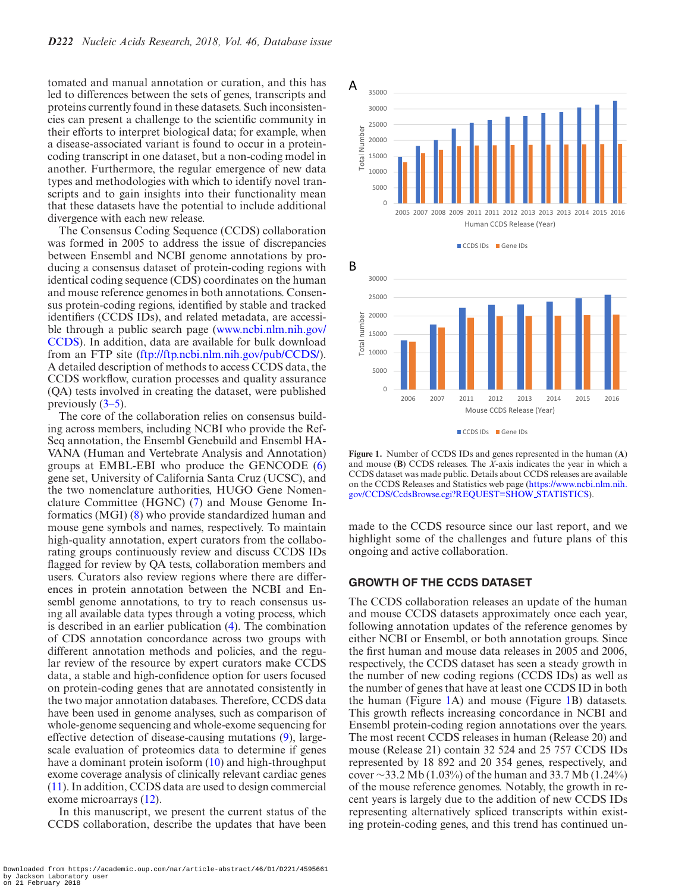<span id="page-3-0"></span>tomated and manual annotation or curation, and this has led to differences between the sets of genes, transcripts and proteins currently found in these datasets. Such inconsistencies can present a challenge to the scientific community in their efforts to interpret biological data; for example, when a disease-associated variant is found to occur in a proteincoding transcript in one dataset, but a non-coding model in another. Furthermore, the regular emergence of new data types and methodologies with which to identify novel transcripts and to gain insights into their functionality mean that these datasets have the potential to include additional divergence with each new release.

The Consensus Coding Sequence (CCDS) collaboration was formed in 2005 to address the issue of discrepancies between Ensembl and NCBI genome annotations by producing a consensus dataset of protein-coding regions with identical coding sequence (CDS) coordinates on the human and mouse reference genomes in both annotations. Consensus protein-coding regions, identified by stable and tracked identifiers (CCDS IDs), and related metadata, are accessible through a public search page (www.ncbi.nlm.nih.gov/ [CCDS\). In addition, data are available for bulk download](http://www.ncbi.nlm.nih.gov/CCDS) from an FTP site [\(ftp://ftp.ncbi.nlm.nih.gov/pub/CCDS/\)](ftp://ftp.ncbi.nlm.nih.gov/pub/CCDS/). A detailed description of methods to access CCDS data, the CCDS workflow, curation processes and quality assurance (QA) tests involved in creating the dataset, were published previously  $(3-5)$ .

The core of the collaboration relies on consensus building across members, including NCBI who provide the Ref-Seq annotation, the Ensembl Genebuild and Ensembl HA-VANA (Human and Vertebrate Analysis and Annotation) groups at EMBL-EBI who produce the GENCODE [\(6\)](#page-9-0) gene set, University of California Santa Cruz (UCSC), and the two nomenclature authorities, HUGO Gene Nomenclature Committee (HGNC) [\(7\)](#page-9-0) and Mouse Genome Informatics (MGI) [\(8\)](#page-9-0) who provide standardized human and mouse gene symbols and names, respectively. To maintain high-quality annotation, expert curators from the collaborating groups continuously review and discuss CCDS IDs flagged for review by QA tests, collaboration members and users. Curators also review regions where there are differences in protein annotation between the NCBI and Ensembl genome annotations, to try to reach consensus using all available data types through a voting process, which is described in an earlier publication [\(4\)](#page-9-0). The combination of CDS annotation concordance across two groups with different annotation methods and policies, and the regular review of the resource by expert curators make CCDS data, a stable and high-confidence option for users focused on protein-coding genes that are annotated consistently in the two major annotation databases. Therefore, CCDS data have been used in genome analyses, such as comparison of whole-genome sequencing and whole-exome sequencing for effective detection of disease-causing mutations [\(9\)](#page-9-0), largescale evaluation of proteomics data to determine if genes have a dominant protein isoform  $(10)$  and high-throughput exome coverage analysis of clinically relevant cardiac genes [\(11\)](#page-9-0). In addition, CCDS data are used to design commercial exome microarrays [\(12\)](#page-9-0).

In this manuscript, we present the current status of the CCDS collaboration, describe the updates that have been







CCDS IDs Gene IDs

**Figure 1.** Number of CCDS IDs and genes represented in the human (**A**) and mouse (**B**) CCDS releases. The *X*-axis indicates the year in which a CCDS dataset was made public. Details about CCDS releases are available [on the CCDS Releases and Statistics web page \(https://www.ncbi.nlm.nih.](https://www.ncbi.nlm.nih.gov/CCDS/CcdsBrowse.cgi?REQUEST=SHOW_STATISTICS) gov/CCDS/CcdsBrowse.cgi?REQUEST=SHOW STATISTICS).

made to the CCDS resource since our last report, and we highlight some of the challenges and future plans of this ongoing and active collaboration.

### **GROWTH OF THE CCDS DATASET**

25000 30000

B

The CCDS collaboration releases an update of the human and mouse CCDS datasets approximately once each year, following annotation updates of the reference genomes by either NCBI or Ensembl, or both annotation groups. Since the first human and mouse data releases in 2005 and 2006, respectively, the CCDS dataset has seen a steady growth in the number of new coding regions (CCDS IDs) as well as the number of genes that have at least one CCDS ID in both the human (Figure 1A) and mouse (Figure 1B) datasets. This growth reflects increasing concordance in NCBI and Ensembl protein-coding region annotations over the years. The most recent CCDS releases in human (Release 20) and mouse (Release 21) contain 32 524 and 25 757 CCDS IDs represented by 18 892 and 20 354 genes, respectively, and cover ~33.2 Mb (1.03%) of the human and 33.7 Mb (1.24%) of the mouse reference genomes. Notably, the growth in recent years is largely due to the addition of new CCDS IDs representing alternatively spliced transcripts within existing protein-coding genes, and this trend has continued un-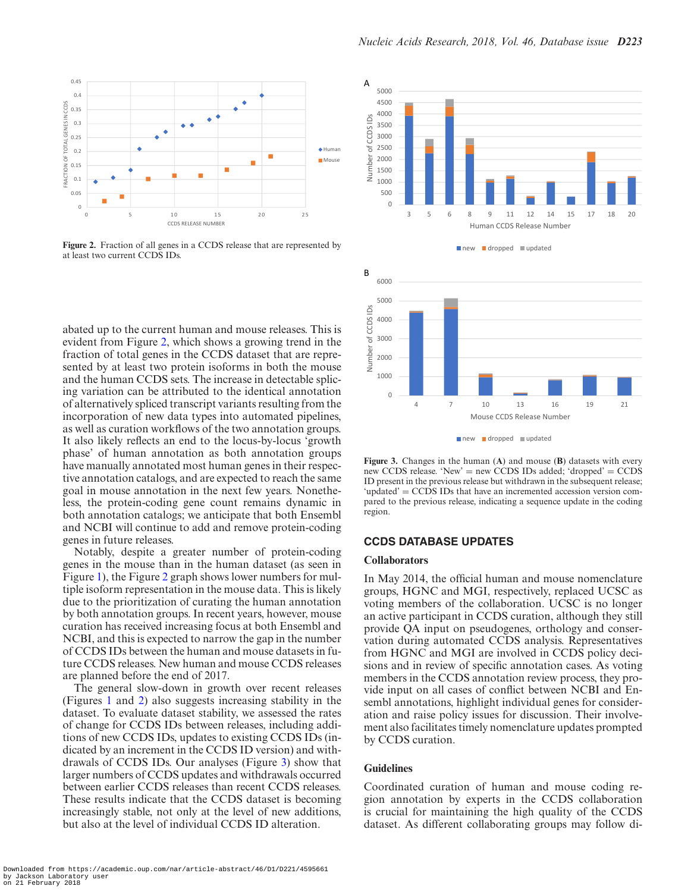

**Figure 2.** Fraction of all genes in a CCDS release that are represented by at least two current CCDS IDs.

abated up to the current human and mouse releases. This is evident from Figure 2, which shows a growing trend in the fraction of total genes in the CCDS dataset that are represented by at least two protein isoforms in both the mouse and the human CCDS sets. The increase in detectable splicing variation can be attributed to the identical annotation of alternatively spliced transcript variants resulting from the incorporation of new data types into automated pipelines, as well as curation workflows of the two annotation groups. It also likely reflects an end to the locus-by-locus 'growth phase' of human annotation as both annotation groups have manually annotated most human genes in their respective annotation catalogs, and are expected to reach the same goal in mouse annotation in the next few years. Nonetheless, the protein-coding gene count remains dynamic in both annotation catalogs; we anticipate that both Ensembl and NCBI will continue to add and remove protein-coding genes in future releases.

Notably, despite a greater number of protein-coding genes in the mouse than in the human dataset (as seen in Figure [1\)](#page-3-0), the Figure 2 graph shows lower numbers for multiple isoform representation in the mouse data. This is likely due to the prioritization of curating the human annotation by both annotation groups. In recent years, however, mouse curation has received increasing focus at both Ensembl and NCBI, and this is expected to narrow the gap in the number of CCDS IDs between the human and mouse datasets in future CCDS releases. New human and mouse CCDS releases are planned before the end of 2017.

The general slow-down in growth over recent releases (Figures [1](#page-3-0) and 2) also suggests increasing stability in the dataset. To evaluate dataset stability, we assessed the rates of change for CCDS IDs between releases, including additions of new CCDS IDs, updates to existing CCDS IDs (indicated by an increment in the CCDS ID version) and withdrawals of CCDS IDs. Our analyses (Figure 3) show that larger numbers of CCDS updates and withdrawals occurred between earlier CCDS releases than recent CCDS releases. These results indicate that the CCDS dataset is becoming increasingly stable, not only at the level of new additions, but also at the level of individual CCDS ID alteration.





**Figure 3.** Changes in the human (**A**) and mouse (**B**) datasets with every new CCDS release. 'New' = new CCDS IDs added; 'dropped' = CCDS ID present in the previous release but withdrawn in the subsequent release; 'updated' = CCDS IDs that have an incremented accession version compared to the previous release, indicating a sequence update in the coding region.

#### **CCDS DATABASE UPDATES**

#### **Collaborators**

In May 2014, the official human and mouse nomenclature groups, HGNC and MGI, respectively, replaced UCSC as voting members of the collaboration. UCSC is no longer an active participant in CCDS curation, although they still provide QA input on pseudogenes, orthology and conservation during automated CCDS analysis. Representatives from HGNC and MGI are involved in CCDS policy decisions and in review of specific annotation cases. As voting members in the CCDS annotation review process, they provide input on all cases of conflict between NCBI and Ensembl annotations, highlight individual genes for consideration and raise policy issues for discussion. Their involvement also facilitates timely nomenclature updates prompted by CCDS curation.

# **Guidelines**

Coordinated curation of human and mouse coding region annotation by experts in the CCDS collaboration is crucial for maintaining the high quality of the CCDS dataset. As different collaborating groups may follow di-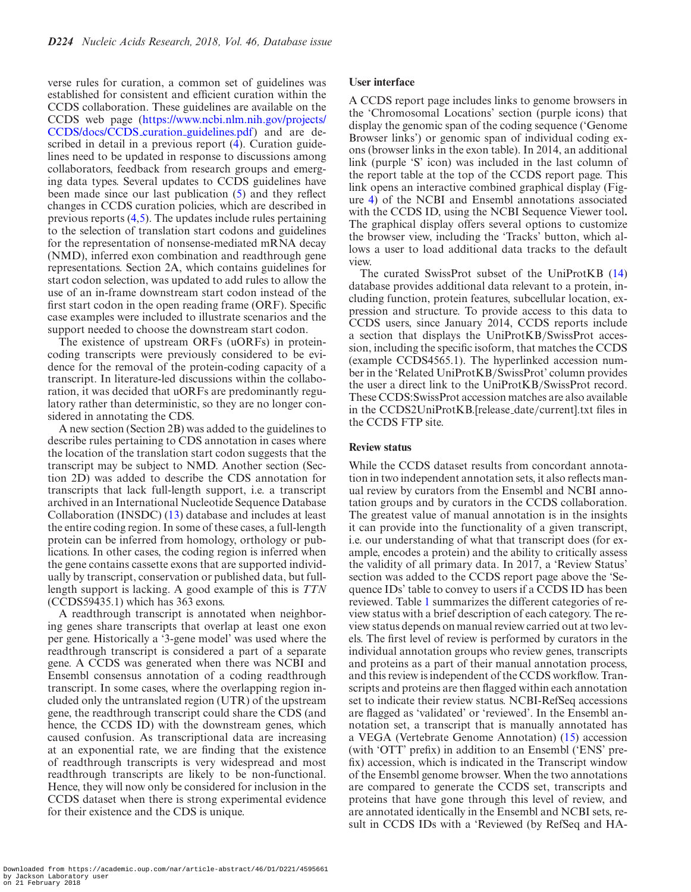verse rules for curation, a common set of guidelines was established for consistent and efficient curation within the CCDS collaboration. These guidelines are available on the [CCDS web page \(https://www.ncbi.nlm.nih.gov/projects/](https://www.ncbi.nlm.nih.gov/projects/CCDS/docs/CCDS_curation_guidelines.pdf) CCDS/docs/CCDS curation guidelines.pdf) and are described in detail in a previous report [\(4\)](#page-9-0). Curation guidelines need to be updated in response to discussions among collaborators, feedback from research groups and emerging data types. Several updates to CCDS guidelines have been made since our last publication [\(5\)](#page-9-0) and they reflect changes in CCDS curation policies, which are described in previous reports [\(4,5\)](#page-9-0). The updates include rules pertaining to the selection of translation start codons and guidelines for the representation of nonsense-mediated mRNA decay (NMD), inferred exon combination and readthrough gene representations. Section 2A, which contains guidelines for start codon selection, was updated to add rules to allow the use of an in-frame downstream start codon instead of the first start codon in the open reading frame (ORF). Specific case examples were included to illustrate scenarios and the support needed to choose the downstream start codon.

The existence of upstream ORFs (uORFs) in proteincoding transcripts were previously considered to be evidence for the removal of the protein-coding capacity of a transcript. In literature-led discussions within the collaboration, it was decided that uORFs are predominantly regulatory rather than deterministic, so they are no longer considered in annotating the CDS.

A new section (Section 2B) was added to the guidelines to describe rules pertaining to CDS annotation in cases where the location of the translation start codon suggests that the transcript may be subject to NMD. Another section (Section 2D) was added to describe the CDS annotation for transcripts that lack full-length support, i.e. a transcript archived in an International Nucleotide Sequence Database Collaboration (INSDC) [\(13\)](#page-9-0) database and includes at least the entire coding region. In some of these cases, a full-length protein can be inferred from homology, orthology or publications. In other cases, the coding region is inferred when the gene contains cassette exons that are supported individually by transcript, conservation or published data, but fulllength support is lacking. A good example of this is *TTN* (CCDS59435.1) which has 363 exons.

A readthrough transcript is annotated when neighboring genes share transcripts that overlap at least one exon per gene. Historically a '3-gene model' was used where the readthrough transcript is considered a part of a separate gene. A CCDS was generated when there was NCBI and Ensembl consensus annotation of a coding readthrough transcript. In some cases, where the overlapping region included only the untranslated region (UTR) of the upstream gene, the readthrough transcript could share the CDS (and hence, the CCDS ID) with the downstream genes, which caused confusion. As transcriptional data are increasing at an exponential rate, we are finding that the existence of readthrough transcripts is very widespread and most readthrough transcripts are likely to be non-functional. Hence, they will now only be considered for inclusion in the CCDS dataset when there is strong experimental evidence for their existence and the CDS is unique.

#### **User interface**

A CCDS report page includes links to genome browsers in the 'Chromosomal Locations' section (purple icons) that display the genomic span of the coding sequence ('Genome Browser links') or genomic span of individual coding exons (browser links in the exon table). In 2014, an additional link (purple 'S' icon) was included in the last column of the report table at the top of the CCDS report page. This link opens an interactive combined graphical display (Figure [4\)](#page-6-0) of the NCBI and Ensembl annotations associated with the CCDS ID, using the NCBI Sequence Viewer tool**.** The graphical display offers several options to customize the browser view, including the 'Tracks' button, which allows a user to load additional data tracks to the default view.

The curated SwissProt subset of the UniProtKB [\(14\)](#page-9-0) database provides additional data relevant to a protein, including function, protein features, subcellular location, expression and structure. To provide access to this data to CCDS users, since January 2014, CCDS reports include a section that displays the UniProtKB/SwissProt accession, including the specific isoform, that matches the CCDS (example CCDS4565.1). The hyperlinked accession number in the 'Related UniProtKB/SwissProt' column provides the user a direct link to the UniProtKB/SwissProt record. These CCDS:SwissProt accession matches are also available in the CCDS2UniProtKB.[release date/current].txt files in the CCDS FTP site.

#### **Review status**

While the CCDS dataset results from concordant annotation in two independent annotation sets, it also reflects manual review by curators from the Ensembl and NCBI annotation groups and by curators in the CCDS collaboration. The greatest value of manual annotation is in the insights it can provide into the functionality of a given transcript, i.e. our understanding of what that transcript does (for example, encodes a protein) and the ability to critically assess the validity of all primary data. In 2017, a 'Review Status' section was added to the CCDS report page above the 'Sequence IDs' table to convey to users if a CCDS ID has been reviewed. Table [1](#page-7-0) summarizes the different categories of review status with a brief description of each category. The review status depends on manual review carried out at two levels. The first level of review is performed by curators in the individual annotation groups who review genes, transcripts and proteins as a part of their manual annotation process, and this review is independent of the CCDS workflow. Transcripts and proteins are then flagged within each annotation set to indicate their review status. NCBI-RefSeq accessions are flagged as 'validated' or 'reviewed'. In the Ensembl annotation set, a transcript that is manually annotated has a VEGA (Vertebrate Genome Annotation) [\(15\)](#page-9-0) accession (with 'OTT' prefix) in addition to an Ensembl ('ENS' prefix) accession, which is indicated in the Transcript window of the Ensembl genome browser. When the two annotations are compared to generate the CCDS set, transcripts and proteins that have gone through this level of review, and are annotated identically in the Ensembl and NCBI sets, result in CCDS IDs with a 'Reviewed (by RefSeq and HA-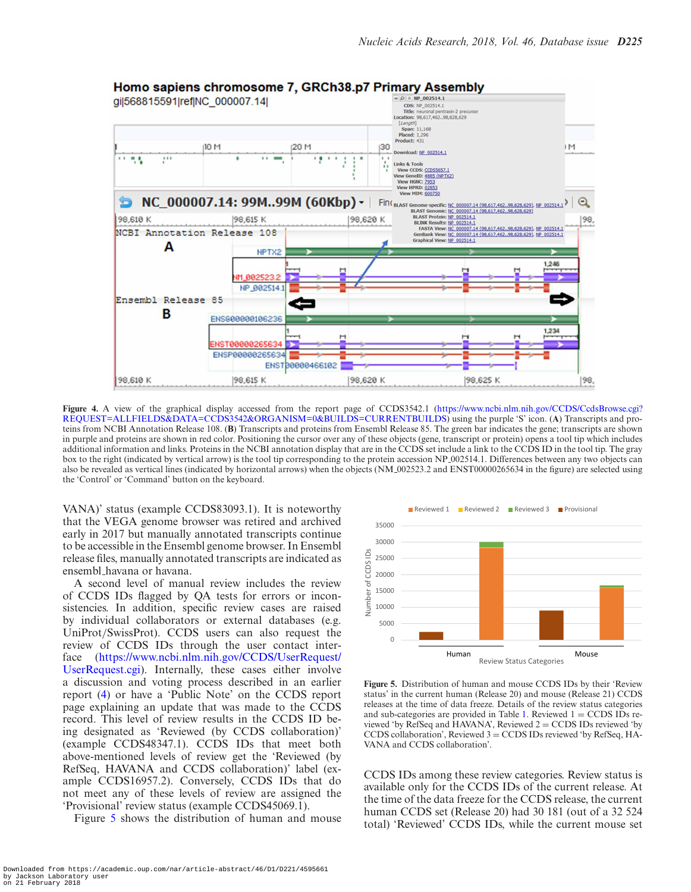

#### <span id="page-6-0"></span>Homo sapiens chromosome 7, GRCh38.p7 Primary Assembly

**Figure 4.** [A view of the graphical display accessed from the report page of CCDS3542.1 \(https://www.ncbi.nlm.nih.gov/CCDS/CcdsBrowse.cgi?](https://www.ncbi.nlm.nih.gov/CCDS/CcdsBrowse.cgi?REQUEST=ALLFIELDS&DATA=CCDS3542&ORGANISM=0&BUILDS=CURRENTBUILDS)) REQUEST=ALLFIELDS&DATA=CCDS3542&ORGANISM=0&BUILDS=CURRENTBUILDS) using the purple 'S' icon. (**A**) Transcripts and proteins from NCBI Annotation Release 108. (**B**) Transcripts and proteins from Ensembl Release 85. The green bar indicates the gene; transcripts are shown in purple and proteins are shown in red color. Positioning the cursor over any of these objects (gene, transcript or protein) opens a tool tip which includes additional information and links. Proteins in the NCBI annotation display that are in the CCDS set include a link to the CCDS ID in the tool tip. The gray box to the right (indicated by vertical arrow) is the tool tip corresponding to the protein accession NP 002514.1. Differences between any two objects can also be revealed as vertical lines (indicated by horizontal arrows) when the objects (NM 002523.2 and ENST00000265634 in the figure) are selected using the 'Control' or 'Command' button on the keyboard.

VANA)' status (example CCDS83093.1). It is noteworthy that the VEGA genome browser was retired and archived early in 2017 but manually annotated transcripts continue to be accessible in the Ensembl genome browser. In Ensembl release files, manually annotated transcripts are indicated as ensembl havana or havana.

A second level of manual review includes the review of CCDS IDs flagged by QA tests for errors or inconsistencies. In addition, specific review cases are raised by individual collaborators or external databases (e.g. UniProt/SwissProt). CCDS users can also request the review of CCDS IDs through the user contact interface (https://www.ncbi.nlm.nih.gov/CCDS/UserRequest/ [UserRequest.cgi\). Internally, these cases either involve](https://www.ncbi.nlm.nih.gov/CCDS/UserRequest/UserRequest.cgi) a discussion and voting process described in an earlier report [\(4\)](#page-9-0) or have a 'Public Note' on the CCDS report page explaining an update that was made to the CCDS record. This level of review results in the CCDS ID being designated as 'Reviewed (by CCDS collaboration)' (example CCDS48347.1). CCDS IDs that meet both above-mentioned levels of review get the 'Reviewed (by RefSeq, HAVANA and CCDS collaboration)' label (example CCDS16957.2). Conversely, CCDS IDs that do not meet any of these levels of review are assigned the 'Provisional' review status (example CCDS45069.1).

Figure 5 shows the distribution of human and mouse



**Figure 5.** Distribution of human and mouse CCDS IDs by their 'Review status' in the current human (Release 20) and mouse (Release 21) CCDS releases at the time of data freeze. Details of the review status categories and sub-categories are provided in Table [1.](#page-7-0) Reviewed  $1 =$  CCDS IDs reviewed 'by RefSeq and HAVANA', Reviewed  $2 =$  CCDS IDs reviewed 'by CCDS collaboration', Reviewed  $3 =$ CCDS IDs reviewed 'by RefSeq, HA-VANA and CCDS collaboration'.

CCDS IDs among these review categories. Review status is available only for the CCDS IDs of the current release. At the time of the data freeze for the CCDS release, the current human CCDS set (Release 20) had 30 181 (out of a 32 524 total) 'Reviewed' CCDS IDs, while the current mouse set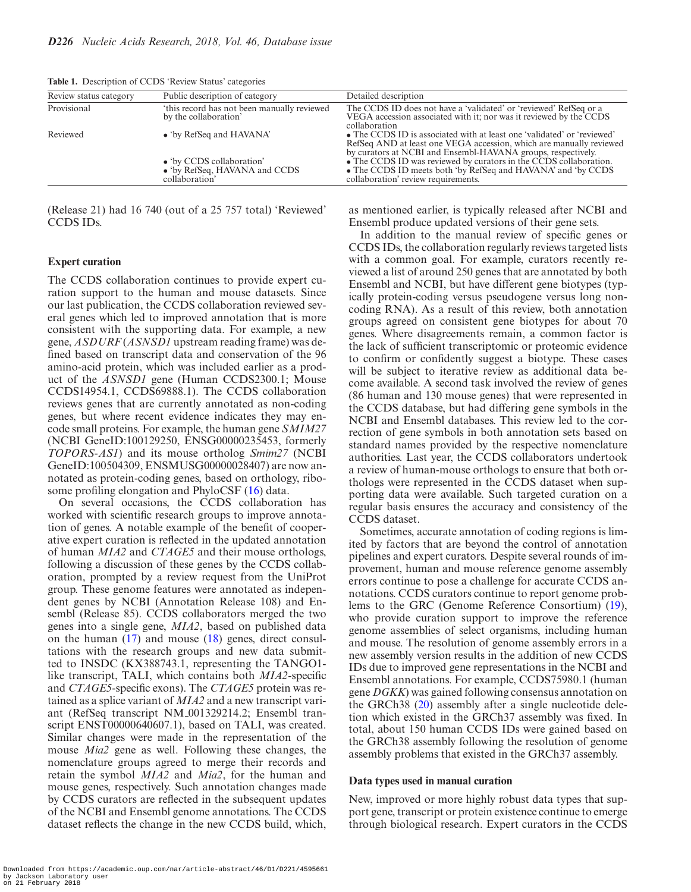| Review status category | Public description of category                                               | Detailed description                                                                                                                                                                                                                     |
|------------------------|------------------------------------------------------------------------------|------------------------------------------------------------------------------------------------------------------------------------------------------------------------------------------------------------------------------------------|
| Provisional            | this record has not been manually reviewed<br>by the collaboration'          | The CCDS ID does not have a 'validated' or 'reviewed' RefSeq or a<br>VEGA accession associated with it; nor was it reviewed by the CCDS<br>collaboration                                                                                 |
| Reviewed               | $\bullet$ 'by RefSeq and HAVANA'                                             | • The CCDS ID is associated with at least one 'validated' or 'reviewed'<br>RefSeq AND at least one VEGA accession, which are manually reviewed                                                                                           |
|                        | • 'by CCDS collaboration'<br>• 'by RefSeq, HAVANA and CCDS<br>collaboration' | by curators at NCBI and Ensembl-HAVANA groups, respectively.<br>• The CCDS ID was reviewed by curators in the CCDS collaboration.<br>• The CCDS ID meets both 'by RefSeq and HAVANA' and 'by CCDS<br>collaboration' review requirements. |

<span id="page-7-0"></span>**Table 1.** Description of CCDS 'Review Status' categories

(Release 21) had 16 740 (out of a 25 757 total) 'Reviewed' CCDS IDs.

#### **Expert curation**

The CCDS collaboration continues to provide expert curation support to the human and mouse datasets. Since our last publication, the CCDS collaboration reviewed several genes which led to improved annotation that is more consistent with the supporting data. For example, a new gene, *ASDURF* (*ASNSD1* upstream reading frame) was defined based on transcript data and conservation of the 96 amino-acid protein, which was included earlier as a product of the *ASNSD1* gene (Human CCDS2300.1; Mouse CCDS14954.1, CCDS69888.1). The CCDS collaboration reviews genes that are currently annotated as non-coding genes, but where recent evidence indicates they may encode small proteins. For example, the human gene *SMIM27* (NCBI GeneID:100129250, ENSG00000235453, formerly *TOPORS-AS1*) and its mouse ortholog *Smim27* (NCBI GeneID:100504309, ENSMUSG00000028407) are now annotated as protein-coding genes, based on orthology, ribosome profiling elongation and PhyloCSF [\(16\)](#page-9-0) data.

On several occasions, the CCDS collaboration has worked with scientific research groups to improve annotation of genes. A notable example of the benefit of cooperative expert curation is reflected in the updated annotation of human *MIA2* and *CTAGE5* and their mouse orthologs, following a discussion of these genes by the CCDS collaboration, prompted by a review request from the UniProt group. These genome features were annotated as independent genes by NCBI (Annotation Release 108) and Ensembl (Release 85). CCDS collaborators merged the two genes into a single gene, *MIA2*, based on published data on the human [\(17\)](#page-9-0) and mouse [\(18\)](#page-9-0) genes, direct consultations with the research groups and new data submitted to INSDC (KX388743.1, representing the TANGO1 like transcript, TALI, which contains both *MIA2*-specific and *CTAGE5*-specific exons). The *CTAGE5* protein was retained as a splice variant of *MIA2* and a new transcript variant (RefSeq transcript NM 001329214.2; Ensembl transcript ENST00000640607.1), based on TALI, was created. Similar changes were made in the representation of the mouse *Mia2* gene as well. Following these changes, the nomenclature groups agreed to merge their records and retain the symbol *MIA2* and *Mia2*, for the human and mouse genes, respectively. Such annotation changes made by CCDS curators are reflected in the subsequent updates of the NCBI and Ensembl genome annotations. The CCDS dataset reflects the change in the new CCDS build, which,

as mentioned earlier, is typically released after NCBI and Ensembl produce updated versions of their gene sets.

In addition to the manual review of specific genes or CCDS IDs, the collaboration regularly reviews targeted lists with a common goal. For example, curators recently reviewed a list of around 250 genes that are annotated by both Ensembl and NCBI, but have different gene biotypes (typically protein-coding versus pseudogene versus long noncoding RNA). As a result of this review, both annotation groups agreed on consistent gene biotypes for about 70 genes. Where disagreements remain, a common factor is the lack of sufficient transcriptomic or proteomic evidence to confirm or confidently suggest a biotype. These cases will be subject to iterative review as additional data become available. A second task involved the review of genes (86 human and 130 mouse genes) that were represented in the CCDS database, but had differing gene symbols in the NCBI and Ensembl databases. This review led to the correction of gene symbols in both annotation sets based on standard names provided by the respective nomenclature authorities. Last year, the CCDS collaborators undertook a review of human-mouse orthologs to ensure that both orthologs were represented in the CCDS dataset when supporting data were available. Such targeted curation on a regular basis ensures the accuracy and consistency of the CCDS dataset.

Sometimes, accurate annotation of coding regions is limited by factors that are beyond the control of annotation pipelines and expert curators. Despite several rounds of improvement, human and mouse reference genome assembly errors continue to pose a challenge for accurate CCDS annotations. CCDS curators continue to report genome problems to the GRC (Genome Reference Consortium) [\(19\)](#page-9-0), who provide curation support to improve the reference genome assemblies of select organisms, including human and mouse. The resolution of genome assembly errors in a new assembly version results in the addition of new CCDS IDs due to improved gene representations in the NCBI and Ensembl annotations. For example, CCDS75980.1 (human gene *DGKK*) was gained following consensus annotation on the GRCh38 [\(20\)](#page-9-0) assembly after a single nucleotide deletion which existed in the GRCh37 assembly was fixed. In total, about 150 human CCDS IDs were gained based on the GRCh38 assembly following the resolution of genome assembly problems that existed in the GRCh37 assembly.

#### **Data types used in manual curation**

New, improved or more highly robust data types that support gene, transcript or protein existence continue to emerge through biological research. Expert curators in the CCDS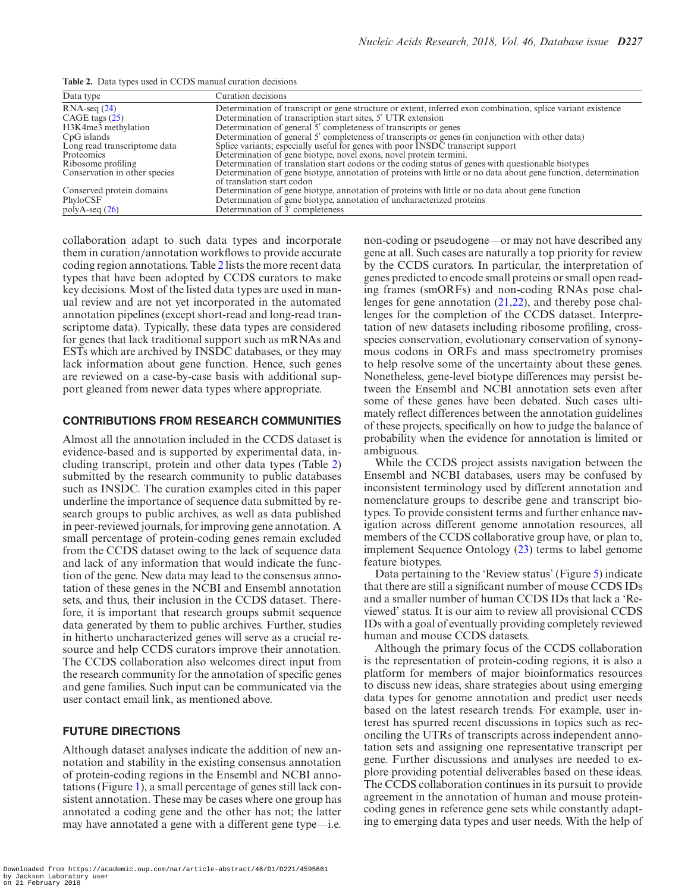| Data type                     | Curation decisions                                                                                                                            |
|-------------------------------|-----------------------------------------------------------------------------------------------------------------------------------------------|
| $RNA-seq(24)$                 | Determination of transcript or gene structure or extent, inferred exon combination, splice variant existence                                  |
| $CAGE$ tags $(25)$            | Determination of transcription start sites, 5' UTR extension                                                                                  |
| H3K4me3 methylation           | Determination of general 5' completeness of transcripts or genes                                                                              |
| CpG islands                   | Determination of general 5' completeness of transcripts or genes (in conjunction with other data)                                             |
| Long read transcriptome data  | Splice variants; especially useful for genes with poor INSDC transcript support                                                               |
| Proteomics                    | Determination of gene biotype, novel exons, novel protein termini.                                                                            |
| Ribosome profiling            | Determination of translation start codons or the coding status of genes with questionable biotypes                                            |
| Conservation in other species | Determination of gene biotype, annotation of proteins with little or no data about gene function, determination<br>of translation start codon |
| Conserved protein domains     | Determination of gene biotype, annotation of proteins with little or no data about gene function                                              |
| PhyloCSF                      | Determination of gene biotype, annotation of uncharacterized proteins                                                                         |
| $polyA-seq(26)$               | Determination of 3' completeness                                                                                                              |

**Table 2.** Data types used in CCDS manual curation decisions

collaboration adapt to such data types and incorporate them in curation/annotation workflows to provide accurate coding region annotations. Table 2 lists the more recent data types that have been adopted by CCDS curators to make key decisions. Most of the listed data types are used in manual review and are not yet incorporated in the automated annotation pipelines (except short-read and long-read transcriptome data). Typically, these data types are considered for genes that lack traditional support such as mRNAs and ESTs which are archived by INSDC databases, or they may lack information about gene function. Hence, such genes are reviewed on a case-by-case basis with additional support gleaned from newer data types where appropriate.

#### **CONTRIBUTIONS FROM RESEARCH COMMUNITIES**

Almost all the annotation included in the CCDS dataset is evidence-based and is supported by experimental data, including transcript, protein and other data types (Table 2) submitted by the research community to public databases such as INSDC. The curation examples cited in this paper underline the importance of sequence data submitted by research groups to public archives, as well as data published in peer-reviewed journals, for improving gene annotation. A small percentage of protein-coding genes remain excluded from the CCDS dataset owing to the lack of sequence data and lack of any information that would indicate the function of the gene. New data may lead to the consensus annotation of these genes in the NCBI and Ensembl annotation sets, and thus, their inclusion in the CCDS dataset. Therefore, it is important that research groups submit sequence data generated by them to public archives. Further, studies in hitherto uncharacterized genes will serve as a crucial resource and help CCDS curators improve their annotation. The CCDS collaboration also welcomes direct input from the research community for the annotation of specific genes and gene families. Such input can be communicated via the user contact email link, as mentioned above.

# **FUTURE DIRECTIONS**

Although dataset analyses indicate the addition of new annotation and stability in the existing consensus annotation of protein-coding regions in the Ensembl and NCBI annotations (Figure [1\)](#page-3-0), a small percentage of genes still lack consistent annotation. These may be cases where one group has annotated a coding gene and the other has not; the latter may have annotated a gene with a different gene type-i.e. non-coding or pseudogene––or may not have described any gene at all. Such cases are naturally a top priority for review by the CCDS curators. In particular, the interpretation of genes predicted to encode small proteins or small open reading frames (smORFs) and non-coding RNAs pose challenges for gene annotation [\(21,22\)](#page-9-0), and thereby pose challenges for the completion of the CCDS dataset. Interpretation of new datasets including ribosome profiling, crossspecies conservation, evolutionary conservation of synonymous codons in ORFs and mass spectrometry promises to help resolve some of the uncertainty about these genes. Nonetheless, gene-level biotype differences may persist between the Ensembl and NCBI annotation sets even after some of these genes have been debated. Such cases ultimately reflect differences between the annotation guidelines of these projects, specifically on how to judge the balance of probability when the evidence for annotation is limited or ambiguous.

While the CCDS project assists navigation between the Ensembl and NCBI databases, users may be confused by inconsistent terminology used by different annotation and nomenclature groups to describe gene and transcript biotypes. To provide consistent terms and further enhance navigation across different genome annotation resources, all members of the CCDS collaborative group have, or plan to, implement Sequence Ontology [\(23\)](#page-9-0) terms to label genome feature biotypes.

Data pertaining to the 'Review status' (Figure [5\)](#page-6-0) indicate that there are still a significant number of mouse CCDS IDs and a smaller number of human CCDS IDs that lack a 'Reviewed' status. It is our aim to review all provisional CCDS IDs with a goal of eventually providing completely reviewed human and mouse CCDS datasets.

Although the primary focus of the CCDS collaboration is the representation of protein-coding regions, it is also a platform for members of major bioinformatics resources to discuss new ideas, share strategies about using emerging data types for genome annotation and predict user needs based on the latest research trends. For example, user interest has spurred recent discussions in topics such as reconciling the UTRs of transcripts across independent annotation sets and assigning one representative transcript per gene. Further discussions and analyses are needed to explore providing potential deliverables based on these ideas. The CCDS collaboration continues in its pursuit to provide agreement in the annotation of human and mouse proteincoding genes in reference gene sets while constantly adapting to emerging data types and user needs. With the help of